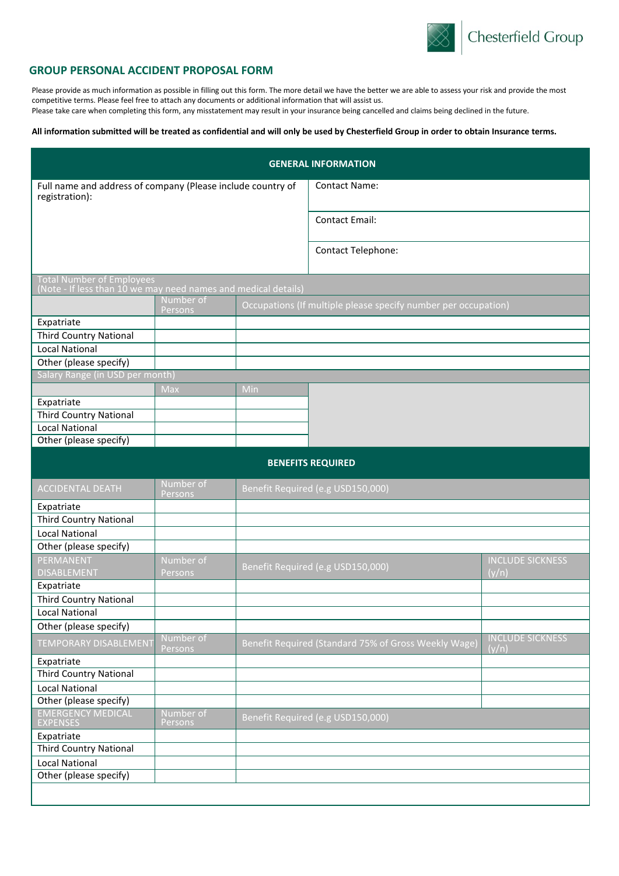

### **GROUP PERSONAL ACCIDENT PROPOSAL FORM**

Please provide as much information as possible in filling out this form. The more detail we have the better we are able to assess your risk and provide the most competitive terms. Please feel free to attach any documents or additional information that will assist us. Please take care when completing this form, any misstatement may result in your insurance being cancelled and claims being declined in the future.

### **All information submitted will be treated as confidential and will only be used by Chesterfield Group in order to obtain Insurance terms.**

| <b>GENERAL INFORMATION</b>                                                                         |                      |     |                                                                |                                  |  |
|----------------------------------------------------------------------------------------------------|----------------------|-----|----------------------------------------------------------------|----------------------------------|--|
| Full name and address of company (Please include country of<br>registration):                      |                      |     | <b>Contact Name:</b>                                           |                                  |  |
|                                                                                                    |                      |     | <b>Contact Email:</b>                                          |                                  |  |
|                                                                                                    |                      |     | Contact Telephone:                                             |                                  |  |
| <b>Total Number of Employees</b><br>(Note - If less than 10 we may need names and medical details) |                      |     |                                                                |                                  |  |
|                                                                                                    | Number of<br>Persons |     | Occupations (If multiple please specify number per occupation) |                                  |  |
| Expatriate                                                                                         |                      |     |                                                                |                                  |  |
| <b>Third Country National</b>                                                                      |                      |     |                                                                |                                  |  |
| <b>Local National</b>                                                                              |                      |     |                                                                |                                  |  |
| Other (please specify)                                                                             |                      |     |                                                                |                                  |  |
| Salary Range (in USD per month)                                                                    |                      |     |                                                                |                                  |  |
|                                                                                                    | Max                  | Min |                                                                |                                  |  |
| Expatriate                                                                                         |                      |     |                                                                |                                  |  |
| <b>Third Country National</b>                                                                      |                      |     |                                                                |                                  |  |
| <b>Local National</b>                                                                              |                      |     |                                                                |                                  |  |
| Other (please specify)                                                                             |                      |     |                                                                |                                  |  |
| <b>BENEFITS REQUIRED</b>                                                                           |                      |     |                                                                |                                  |  |
| <b>ACCIDENTAL DEATH</b>                                                                            | Number of<br>Persons |     | Benefit Required (e.g USD150,000)                              |                                  |  |
| Expatriate                                                                                         |                      |     |                                                                |                                  |  |
| <b>Third Country National</b>                                                                      |                      |     |                                                                |                                  |  |
| <b>Local National</b>                                                                              |                      |     |                                                                |                                  |  |
| Other (please specify)                                                                             |                      |     |                                                                |                                  |  |
| PERMANENT                                                                                          | Number of            |     | Benefit Required (e.g USD150,000)                              | <b>INCLUDE SICKNESS</b>          |  |
| <b>DISABLEMENT</b>                                                                                 | Persons              |     |                                                                | (y/n)                            |  |
| Expatriate                                                                                         |                      |     |                                                                |                                  |  |
| <b>Third Country National</b>                                                                      |                      |     |                                                                |                                  |  |
| <b>Local National</b>                                                                              |                      |     |                                                                |                                  |  |
| Other (please specify)                                                                             |                      |     |                                                                |                                  |  |
| <b>TEMPORARY DISABLEMENT</b>                                                                       | Number of<br>Persons |     | Benefit Required (Standard 75% of Gross Weekly Wage)           | <b>INCLUDE SICKNESS</b><br>(y/n) |  |
| Expatriate                                                                                         |                      |     |                                                                |                                  |  |
| <b>Third Country National</b>                                                                      |                      |     |                                                                |                                  |  |
| <b>Local National</b>                                                                              |                      |     |                                                                |                                  |  |
| Other (please specify)                                                                             |                      |     |                                                                |                                  |  |
| EMERGENCY MEDICAL<br>EXPENSES                                                                      | Number of<br>Persons |     | Benefit Required (e.g USD150,000)                              |                                  |  |
| Expatriate                                                                                         |                      |     |                                                                |                                  |  |
| Third Country National                                                                             |                      |     |                                                                |                                  |  |
| <b>Local National</b>                                                                              |                      |     |                                                                |                                  |  |
| Other (please specify)                                                                             |                      |     |                                                                |                                  |  |
|                                                                                                    |                      |     |                                                                |                                  |  |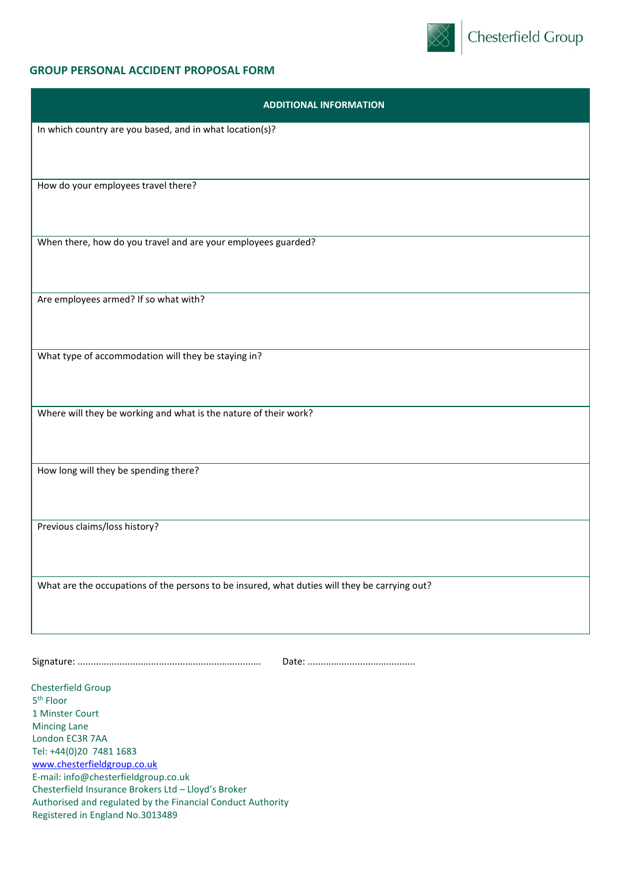

# **GROUP PERSONAL ACCIDENT PROPOSAL FORM**

| <b>ADDITIONAL INFORMATION</b>                                                                 |
|-----------------------------------------------------------------------------------------------|
| In which country are you based, and in what location(s)?                                      |
|                                                                                               |
|                                                                                               |
| How do your employees travel there?                                                           |
|                                                                                               |
|                                                                                               |
| When there, how do you travel and are your employees guarded?                                 |
|                                                                                               |
| Are employees armed? If so what with?                                                         |
|                                                                                               |
|                                                                                               |
| What type of accommodation will they be staying in?                                           |
|                                                                                               |
|                                                                                               |
| Where will they be working and what is the nature of their work?                              |
|                                                                                               |
| How long will they be spending there?                                                         |
|                                                                                               |
|                                                                                               |
| Previous claims/loss history?                                                                 |
|                                                                                               |
|                                                                                               |
| What are the occupations of the persons to be insured, what duties will they be carrying out? |
|                                                                                               |
|                                                                                               |
|                                                                                               |
|                                                                                               |
| Chesterfield Group<br>5 <sup>th</sup> Floor                                                   |
| 1 Minster Court                                                                               |
| <b>Mincing Lane</b><br>London EC3R 7AA                                                        |
| Tel: +44(0)20 7481 1683                                                                       |
| www.chesterfieldgroup.co.uk                                                                   |
| E-mail: info@chesterfieldgroup.co.uk<br>Chesterfield Insurance Brokers Ltd - Lloyd's Broker   |
| Authorised and regulated by the Financial Conduct Authority                                   |
| Registered in England No.3013489                                                              |